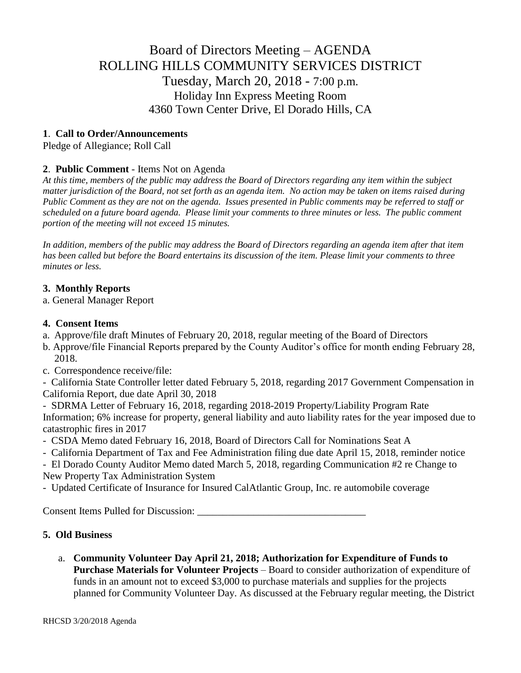# Board of Directors Meeting – AGENDA ROLLING HILLS COMMUNITY SERVICES DISTRICT Tuesday, March 20, 2018 - 7:00 p.m. Holiday Inn Express Meeting Room 4360 Town Center Drive, El Dorado Hills, CA

# **1**. **Call to Order/Announcements**

Pledge of Allegiance; Roll Call

# **2**. **Public Comment** - Items Not on Agenda

*At this time, members of the public may address the Board of Directors regarding any item within the subject matter jurisdiction of the Board, not set forth as an agenda item. No action may be taken on items raised during Public Comment as they are not on the agenda. Issues presented in Public comments may be referred to staff or scheduled on a future board agenda. Please limit your comments to three minutes or less. The public comment portion of the meeting will not exceed 15 minutes.*

*In addition, members of the public may address the Board of Directors regarding an agenda item after that item has been called but before the Board entertains its discussion of the item. Please limit your comments to three minutes or less.*

# **3. Monthly Reports**

a. General Manager Report

### **4. Consent Items**

- a. Approve/file draft Minutes of February 20, 2018, regular meeting of the Board of Directors
- b. Approve/file Financial Reports prepared by the County Auditor's office for month ending February 28, 2018.
- c. Correspondence receive/file:

- California State Controller letter dated February 5, 2018, regarding 2017 Government Compensation in California Report, due date April 30, 2018

- SDRMA Letter of February 16, 2018, regarding 2018-2019 Property/Liability Program Rate Information; 6% increase for property, general liability and auto liability rates for the year imposed due to catastrophic fires in 2017

- CSDA Memo dated February 16, 2018, Board of Directors Call for Nominations Seat A
- California Department of Tax and Fee Administration filing due date April 15, 2018, reminder notice

- El Dorado County Auditor Memo dated March 5, 2018, regarding Communication #2 re Change to New Property Tax Administration System

- Updated Certificate of Insurance for Insured CalAtlantic Group, Inc. re automobile coverage

Consent Items Pulled for Discussion: \_\_\_\_\_\_\_\_\_\_\_\_\_\_\_\_\_\_\_\_\_\_\_\_\_\_\_\_\_\_\_\_\_

### **5. Old Business**

a. **Community Volunteer Day April 21, 2018; Authorization for Expenditure of Funds to Purchase Materials for Volunteer Projects** – Board to consider authorization of expenditure of funds in an amount not to exceed \$3,000 to purchase materials and supplies for the projects planned for Community Volunteer Day. As discussed at the February regular meeting, the District